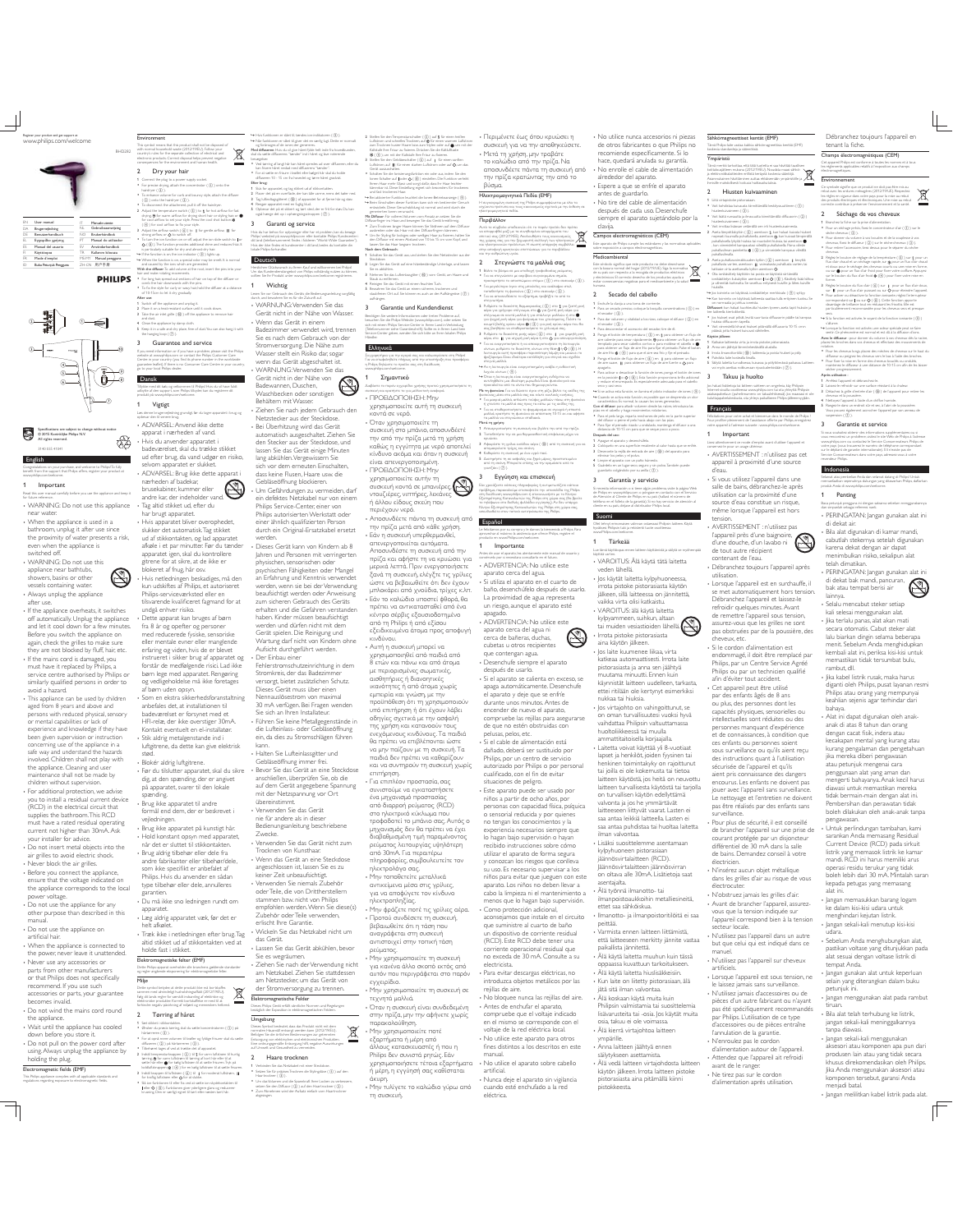

Register your product and get support at www.philips.com/welcome

| EN  | User manual            | π            | Manuale utente       |
|-----|------------------------|--------------|----------------------|
| DA. | <b>Brugervejedning</b> | NI.          | Gebruiksaanwiizing   |
| DE  | Benutzerhandbuch       | NO           | Restaurbängthode     |
| EL. | Εγχειρίδιο χρήσης      | PT.          | Manual do utilizador |
| ES  | Manual del usuario     | $\sim$       | Amindarhandbok       |
| R   | Kivmbooss              | TR           | Kullanım kılayızu    |
| FR  | Mode d'emploi          | <b>MS-MY</b> | Manual pengguna      |
| m   | Buku Petunjuk Pennyura |              | ZH-CN 用户手册           |

## **PHILIPS**

BHD282



# Specifications are subject to change without notice © 2015 Koninklijke Philips N.V. All rights reserved.

3140 035 41041English ۰ Congratulations on your purchase, and welcome to Philips! To fully m the suppo rt that Philips o ffers, register yo www.philips.com/welcome.

## **Important**

Read this user manual carefully before you use the appliance and keep it for future reference. WARNING: Do not use this appliance

near water. When the appliance is used in a bathroom, unplug it after use since the proximity of water presents a risk, even when the appliance is switched off.

WARNING: Do not use this appliance near bathtubs, showers, basins or other vessels containing water. Always unplug the appliance after use.

 If the appliance overheats, it switches off automatically. Unplug the appliance and let it cool down for a few minutes. and the coor down for a few mind again, check the grilles to make sure<br>they are not blocked by fluff, hair, etc. If the mains cord is damaged, you must have it replaced by Philips, a service centre authorised by Philips or

similarly qualified persons in order to<br>avoid a hazard.<br>This applance can be used by children<br>aged from 8 years and above and<br>persons with reduced physical, sensory<br>or mental capabilities or lack of<br>experience and knowledg safe way and understand the hazards involved. Children shall not play with the appliance. Cleaning and user maintenance shall not be made by children without supervision.

 For additional protection, we advise you to install a residual current device (RCD) in the electrical circuit that supplies the bathroom. This RCD must have a rated residual operating current not higher than 30mA. Ask your installer for advice.

Do not insert metal objects into the air grilles to avoid electric shock. Never block the air grilles. Before you connect the appliance,

ensure that the voltage indicated on the appliance corresponds to the local . . .<br>er voltage

Do not use the appliance for any other purpose than described in this

manual. Do not use the appliance on  

When the appliance is connected to the power, never leave it unattended. - Never use any accessories or<br>
- parts from other manufacturers<br>
or that Philips does not pecifically<br>
recommend. If you use such<br>
accessories or parts, your guarantee<br>
accessories or parts, your guarantee<br>
becomes invali

 $\overline{\mathbb{L}}$ 

Environment This symbol means that this product shall not be disposed of with normal household waste (2012/19/EU). Follow your  $\boxtimes$ country's rules for the separate collection of electrical and electronic products. Correct disposal helps prevent negative consequences for the environment and human health. Dry your hair 1 Connect the plug to a power supply socket.

For precise drying, attach the concentrator  $(\cdot 0)$  onto the hairdryer  $($   $($   $)$  $)$  To enhance volume for curls and bouncy style, attach the diffuser  $(Q)$  ) onto the hairdryer  $(Q)$ . To disconnect the attachment, pull it off the hairdryer.<br>
2 Adjust the temperature switch (③) to & for hot airflow for fast<br>
drying, @ for werm airflow for drying hart hair or styleng hair, or<br>
for cool airflow to set your

 $($ ((i)) for coal airliow to fix your style.<br>
3 Adjust the airliow metch  $($ (i)) to  $\parallel$  for gentle airliow,  $\parallel$  for<br>strong airliow, or **Q** to switch off. To turn the ion function on or off, adjust the ion slide switch to  $\bigcirc$  ( $\circledR$ ). The function provides additional shine and reduces frizz. It In turn the ion to<br> **O** ((@). The for<br>in particularly suit » If the function is on, the ion indicator ( i ) lights up. » When the function is on, a special odor may be smelt. It is normal and caused by the ions which are generated.

With the diffuser: To add volume at the root, insert the pins into your hair and make rotating movements. For long hair, spread out sections of hair on top of the diffuser or comb the hair downwards with the pins. & for the style for r curly o r way hair, ho of 10-15cm to let it dry gradually. After use:

### 1 Switch off the appliance and unplug it. 2 Place it on a heat-resistant surface until it cools down. 3 Take the air inlet grille (  $60$  ) off the appliance to remove hair and dust. 4 Clean the appliance by damp cloth. 5 Keep it in a safe and dry place, free of dust. You can also hang it with the hanging loop (  $\circledcirc$  ).

h i Guarantee and service If you need information or if you have a problem, please visit the Philips website at www.philips.com or contact the Philips Customer Care Centre in your country (you find its pho<br>guarantee leaflet). If there is no Comum ne numb er in the wa mumer Care Centre in yo go to your local Philips dealer. Dansk Tillykke med dit køb, og velkommen til Philips! Hvis du vil have fuldt

udbytte af den support, som Philips tilbyder, kan du registrere dit produkt på www.philips.com/welcome. 1 Vigtigt

Læs denne brugervejledning grundigt, før du tager apparatet i brug, og opbevar den til senere brug. ADVARSEL: Anvend ikke dette apparat i nærheden af vand.  $\stackrel{\textstyle\textstyle\otimes}{\textstyle\otimes}$ Hvis du anvender apparatet i badeværelset, skal du trække stikket ud efter brug, da vand udgør en risiko,

selvom apparatet er slukket. ADVARSEL: Brug ikke dette apparat i<br>nærheden af badekar,<br>brusekabiner, kummer eller nærheden af badekar, brusekabiner, kummer eller andre kar, der indeholder vand.

Tag altid stikket ud, efter du har brugt apparatet. Hvis apparatet bliver overophede

slukker det automatisk. Tag stikket ud af stikkontakten, og lad apparatet afkøle i et par minutter. Før du tænder apparatet igen, skal du kontrollere gitrene for at sikre, at de ikke er blokeret af fnug, hår osv.  $\circledS$ Hvis netledningen beskadiges, må den kun udskiftes af Philips, et autoriseret Philips-serviceværksted eller en tilsvarende kvalificeret fagmand for at undgå enhver risiko.<br>Dette apparat kan bruges af børn Dette apparat kan bruges af børn fra 8 år og opefter og personer med reducerede fysiske, sensoriske eller mentale evner eller manglende erfaring og viden, hvis de er blevet instrueret i sikker brug af apparatet og

forstår de medfølgende risic Lad ikke<br>børn lege med apparatet. Rengøring<br>og vedligeholdelse må ikke foretages<br>af børn uden opsyn.<br>Som en ekstra sikkerhedsforanstaltning<br>anbefales det, at installationen til<br>badeværelset er

 Stik aldrig metalgenstande ind i luftgitrene, da dette kan give elektrisk stød. Blokér aldrig luftgitrene. Før du tilslutter apparatet, skal du sikre dig, at den spænding, der er angivet på apparatet, svarer til den lokale

spænding. Brug ikke apparatet til andre formål end dem, der er beskrevet i vejledningen.

Brug ikke apparatet på kunstigt hår. Hold konstant opsyn med apparatet, når det er sluttet til stikkontakten.

Brug aldrig tilbehør eller dele fra andre fabrikanter eller tilbehør/dele, - Philips. Hvis du anvender en sådan type tilbehør eller dele, annulleres

garantien. Du må ikke sno ledningen rundt om

apparatet. Læg aldrig apparatet væk, før det er helt afkølet. Træk ikke i netledningen efter brug. Tag

ren (  $\circledS$  ) på hårtørreren (  $\circledS$ 

altid stikket ud af stikkontakten ved at holde fast i stikket. Fleich **Elektromagnetiske felter (EMF)**<br>Dette Philips-apparat overholder alle branchens gældende standarder

og regler angående eksponering for elektromagnetiske felter. -.

Dette symbol betyder, at dette produkt ikke må bortskaffes<br>sammen med almindeligt husholdningsaffald (2012/19/EU).<br>Følg dit lands regler for samskilt indssemling af elektriske og<br>elektroniske produkter. Korrekt bortskaffel forhindre negativ påvirkning af miljøet og menneskers helbred. 2 Tørring af håret

1 Sæt stikket i stikkontakten.

härtørreren ( (3) ). For at opnå mere volumen til krøller og fyldige frisurer skal du sætte  $\begin{array}{ll} \textbf{``Tiloharut tagon if void at tenión det af apparent.} \\ \textbf{``lohal'temperantvionapon'} (\textcircled{S}) \textbf{td.} \textbf{? for your latter on the true of a unit.} \\ \textbf{``lant'of a'or van lichtaron til tarion'} \textbf{? } \textbf{for it of the other if } \textbf{d} \textbf{? } \textbf{``lot} \textbf{...} \\ \textbf{``lant'of a'or} \textbf{``lot'of'of a'or} \textbf{``lot'of a'or} \textbf{``lot'of a'or} \textbf{``lot'of a'or} \textbf{``lot'of a$ 

koldluftsknappen \$4 ( ④ ) for en kølig luftstrøm til at sætte frisuren.<br>3 Indstil knappen til luftstrøm ( ⑥ ) til ∥ for moderat luftstrøm, Ⅲ<br>for kraftig luftstrøm eller ⊙ for at slukke. Slå ion-funktionen til eller fra ved at sætte ion-skydekontakten til eller  $\mathsf{O}$  (  $\circledS$  ). Funktionen giver yderligere glans og reducerer krusning. Den er særligt egnet til tørt eller næsten tørt hår.

\*\* Hvis funktionen er slået til, temdes ion-indikatoren (③).<br>\*\* Nur funktionen er slået til, giver det en samlig lugt. Dette er normalt<br>\* ag forlinssges af de iones der genereres.<br>\* Med délfaurette i filmeren "temder" ind bevægelser. Ved tørring af langt hår kan håret spredes ud over diffuseren, eller du

> kan frisere håret nedad med diffuserens "tænder". For at sætte en frisure i krøllet eller bølget hår skal du holde diffuseren 10 - 15 cm fra hovedet og tørre håret gradvist. Efter brug: 1 Sluk for apparatet, og tag stikket ud af stikkontakten. 2 Placer det på en o verflade, der kan tåle varme, mens det køler ned 3 Tag luftindtagsgitteret (  $60$  ) af apparatet for at fjerne hår og støv.

### 4 Rengør apparatet med en fugtig klud. 5 Opbevar det på et sikkert og tørt sted, der er frit for støv. Du kan også hænge det op i ophængningsstroppen ( (7).) 3 Garanti og service

Hvis du har behov for oplysninger eller har et problem, kan du besøge Philips' websted på www.philips.com eller kontakte Philips Kundecenter i dit land (telefo nnummeret findes i fa lderen "Wa rid-Wide Guarantee"). Mvis der ikke findes et kundecenter i dit land, b edes du ka etakte din lokale Philips-forhandler.

**Deutsch** Herzlichen Glückwunsch zu Ihrem Kauf und willkommen bei Philips! Um das Kundendienstangebot von Philips vollständig nutzen zu können, sollten Sie Ihr Produkt unter www.philips.com/welcome registrieren.

d the diffuser at a distance 1 Wichtig Lesen Sie vor Gebrauch des Geräts die Bedienungsanleitung sorgfältig

rldwide

untry.

durch, und bewahren Sie es für die Zukunft auf. WARNUNG: Verwenden Sie das Gerät nicht in der Nähe von Wasser. Wenn das Gerät in einem<br>Badezimmer verwendet wird, trenner

Badezimmer verwendet wird, trennen<br>
Sie es nach dem Gebrauch von der<br>
Stromversorgung Die Nähe zum<br>
Wasser stelt ein Risiko dar, sogar<br>
Wasser stelt ein Risiko dar, sogar<br>
1980 verwenden Sie das<br>
Gerät in der Nähe von<br>
Sta

 $\circledS$ Ziehen Sie nach jedem Gebrauch den Netzstecker aus der Steckdose. Bei Überhitzung wird das Gerät automatisch ausgeschaltet. Ziehen Sie den Stecker aus der Steckdose, und

an Steuker aus der Juditionen, 2003<br>Issen Sie das Gerät einige Minuten lang abkühlen. Vergewissern Sie sich vor dem erneuten Einschalten, dass keine Flusen, Haare usw. die Gebläseöffnung blockieren. Um Gefährdungen zu vermeiden, darf ein defektes Netzkabel nur von einem

Philips Service-Center, einer von Philips autorisierten Werkstatt oder einer ähnlich qualifizierten Person<br>durch ein Original-Ersatzkabel ersetzt

werden.<br>Dieses Gerät kann von Kindern ab 8<br>Jahren und Personen mit verringerten<br>physischen, sensorischen oder<br>psychischen Fähigkeiten oder Mangel<br>an Erfahrung und Kenntnis verwendet<br>werden, wenn sie bei der Verwendung<br>beau

erhalten und die Gefahren verstanden haben. Kinder müssen beaufsichtigt werden und dürfen nicht mit dem Gerät spielen. Die Reinigung und Wartung darf nicht von Kindern ohne Aufsicht durchgeführt werden. - Der Einbau einer<br>Fehlerstromschutzeinrichtung in dem<br>Stromkreis, der das Badezimmer<br>Versorgt, bietet zusätzlichen Schutz<br>Dieses Gerät muss über einen<br>Nennauslösestrom von maximal<br>30 mA vertigen. Bei Fragen wenden<br>Sie sic

Führen Sie keine Metallgegenstände in die Lufteinlass- oder Gebläseöffnung ein, da dies zu Stromschlägen führen

kann. Halten Sie Lufteinlassgitter und Gebläseöffnung immer frei. Bevor Sie das Gerät an eine Steckdose

anschließen, überprüfen Sie, ob die auf dem Gerät angegebene Spannung mit der Netzspannung vor Ort übereinstimmt. Verwenden Sie das Gerät

nie für andere als in dieser Bedienungsanleitung beschriebene Zwecke. Verwenden Sie das Gerät nicht zum

Trocknen von Kunsthaar. Wenn das Gerät an eine Steckdose angeschlossen ist, lassen Sie es zu keiner Zeit unbeaufsichtigt.

Verwenden Sie niemals Zubehör oder Teile, die von Drittherstellern stammen bzw. nicht von Philips empfohlen werden. Wenn Sie diese(s) Zubehör oder Teile verwenden, erlischt Ihre Garantie.

Wickeln Sie das Netzkabel nicht um das Gerät.

Lassen Sie das Gerät abkühlen, bevor<br>
Sie es wegräumen.<br>
2 dehen Sie nach der Verwendung nicht am Netzkabel. Ziehen Sie stattdessen<br>
am Netzstecker, um das Gerät von<br>
der Stromversorgung zu trennen.<br>
Elektromagnetische Føl

-Dieses Philips Gerät erfüllt sämtliche Normen und Regelungen bezüglich der Exposition in elektromagnetischen Feldern.

Umgebung Dieses Symbol bedeutet, dass das Produkt nicht mit dem normalen Hausmüll entsorgt werden kann (2012/19/EU). Befolgen Sie die örtlichen Bestimmungen zur getrennten

Entsorgung von elektrischen und elektronischen Produkten. Eine ordnungsgemäße Entsorgung hilft, negative Auswirkungen auf Umwelt und Gesundheit zu vermeiden. 2 Haare trocknen

## 1 - Verbinden Sie das Netzkabel mit einer Steckdose.<br>• Setzen Sie für präzises Trocknen die Stylingdüse ( ④ ) auf den

Ønsker du præcis tørring, skal du sætte koncentratoren ( a ) på

 $\cancel{\mathbb{R}}$ 

Haartrockner ( Q) ). Um das Volumen und die Spannkraft Ihrer Locken zu verbessern, setzen Sie den Diffusor ( (2) ) auf den Haartrockner ( (3) ). Zum Abnehmen wird der Aufsatz einfach vom Haartrockner abgezogen.

R

 $2$  Stellen Sie den Temperaturschalter ( $(3)$ ) auf  $\delta$  für einen heißen Luftstrom und schnelles Trocknen, auf @ für einen warmen Luftstrom<br>zum Trocknen kurzer Haare bzw. zum Stylen oder auf ● um mit der<br>Kaltstufe Ihre Frisur zu fixieren. Drücken Sie die Kaltlufttaste  $\begin{array}{l} \mathcal{R}\left(\left.\bullet\right\right) \text{, um mit der Kalthufe Here, for an finterre,} \\\\ \text{S tellen. Se den Gelfäienchûker}\left(\left.\bullet\right\right) \text{ and }\left.\bullet\right\} \text{ for einem undern.} \\\\ \text{Leithrom, and if the form that for the finterre, and for the finterre,} \\\\ \text{Gerift automorphism} \end{array}$ 

Schalten Sie die Ionisierungsfunktion ein oder aus, indem Sie den Ionen-Schalter auf  $O(0)$  einstellen. Die Funktion verleiht Ihrem Haar mehr Glanz und sorgt dafür, dass Ihr Haar leichter kämmbar ist. Diese Einstellung eignet sich besonders für trockenes und fast trockenes Haar. • Bei aktivierter Funktion leuchtet die Ionen-Betriebsanzeige (  $\left( 9\right) .$ » Beim Einschalten dieser Funktion kann sich ein bestimmter Geruch entwickeln. Diese Geruchsbildung ist normal und wird durch die generierten Ionen verursacht.

Mit Diffusor: Für volleres Volumen vom Ansatz an setzen Sie die Dihao rfinger ins Haar, und b ewegen Sie das Gerät kreisförmig. Zum Trocknen langer Haare können Sie Strähnen auf dem Diffusor reiten a der das Haar mit den Diffuso rfegen kämmen. \* Um Ihr Styling für In der welliges Haar zu fooeren, halten Sie den Diffusor mit einem Abstand von 10 bis 15 cm vom Kopf, und lassen Sie das Haar langsam trocknen. Nach dem Gebrauch: 1 Schalten Sie das Gerät aus, und ziehen Sie den Netzstecker aus der

Steckdose. 2 Legen Sie das Gerät auf eine hitzebeständige Unterlage, und lassen Sie es abkühlen. 3 Nehmen Sie das Lufteinlassgitter ( @) vom Gerät, um Haare und<br>Staub zu entfernen. 4 Reinigen Sie das Gerät mit einem feuchten Tuch. 5 Bewahren Sie das Gerät an einem sicheren, trockenen und

staubfreien Ort auf. Sie können es auch an der Aufhängeöse  $(Q)$  ) 3 Garantie und Kundendienst Benötigen Sie weitere Informationen oder treten Probleme auf, besuchen Sie die Philips Website (www.philips.com), oder setzen Sie sich mit einem Philips Service-Center in Ihrem Land in Verbindung

(Telefonnummer siehe Garantieschrift). Sollte es in Ihrem Land kein Service-Center geben, wenden Sie sich bitte an Ihren lokalen Philips Händler. **Elinuvó** 

Συγχαρητήρια για την αγορά σας και καλωσορίσατε στη Philips!<br>Για να επωφεληθείτε πλήρως από την υποστήριξη που προσφέρει<br>η Philips, δηλώστε το προϊόν σας στη διεύθυνση www.philips.com/welcome.

Σημαντικό Διαβάστε το παρόν εγχειρίδιο χρήσης προτού χρησιμοποιήσετε τη σωσκευή και κρατήστε το για μελλοντική αναφορά.<br>• ΠΡΟΕΙΔΟΠΟΙΗΣΗ: Μηγ

χρησιμοποιείτε αυτή τη συσκευή<br>κοντά σε νερό.

• Όταν χρησιμοποιείτε τη<br>συσκευή στο μπάνιο, αποσυνδέετέ<br>την από την πρίζα μετά τη χρήση<br>καθώς η εγγύτητα με νερό αποτελεί<br>κίνδυνο ακόμα και όταν η συσκευή } ™™™™™™™™™™™™™™™™™™™™™™™™™™™™™

χρησιμοποιείτε αυτήν τη<br>συσκευή κοντά σε μπανιέρες, ντουζιέρες, νιπτήρες, λεκάνες<br>ή άλλου είδους σκεύη που περιέχουν νερό.

• Αποσυνδέετε πάντα τη συσκευή από<br>την πρίζα μετά από κάθε χρήση. - Εάν η συσκευή υπερθερμανθεί,<br>απενεργοποιείται αυτόματα.<br>Αποσυνδέστε τη συσκευή από την<br>πρίζα και αφήστε τη να κρυώσει για<br>μερικά λεπτά. Πριν ενεργοποιήσετε<br>ξανά τη συσκευή, ελέγξε τις γρίλιες<br>ζωτ να βεβαιωθείτε ότι δεν

• Αυτή η συσκευή μπορεί να<br>χρησιμοποιηθεί από παιδιά από δετών και πάνω και από άτομο με περιορισμένες σωματικές, αισθητήριες ή διανοητικές<br>ικανότητες ή από άτομα χωρίς<br>εμπειρία και γνώση, με την προϋπόθεση ότι τη χρησιμοποιούν<br>υπό επιτήρηση ή ότι έχουν λάβει<br>οδηγίες σχετικά με την ασφαλή<br>της χρήση και κατανοούν τους<br>ενεχόμενους κινδύνους. Τα παιδιά<br>θα τρέπει να επιβλέπονται ώστε<br>να μην παίζουν με τη συσκευή. Τα ταιδιά δεν πρέπει να καθαρίζου

και να συντηρούν τη συσκευή χωρίς επιτήρηση.<br>• Για επιπλέον προστασία, σας συνιστούμε να εγκαταστήσετε<br>ένα μηχανισμό προστασίας<br>στο διαρροή ρεύματος (RCD)<br>στο ηλεκτρικό κύκλωμα που<br>μηχανισμός δεν θα πρέπει να έχει<br>μηχανισμός δεν θα πρέπει να έχει<br>διαβαθμισμένη τιμή παραμένοντος<br>πλεκτρολόγο σας,<br>

Μην τοποθετείτε μεταλλικά αντικείμενα μέσα στις γρίλιες,<br>για να αποφύγετε τον κίνδυνο .<br>γλεκτροπληξίας. Μην φράζετε ποτέ τις γρίλιες αέρι

.<br>>ύ συνδέσετε τη βεβαιωθείτε ότι η τάση που<br>αναγράφεται στη συσκευή ντιστοιχεί στην τοπική τάση ...<br>εύματος.

• Μην χρησιμοποιείτε τη συσκευή<br>για κανένα άλλο σκοπό εκτός από .<br>τόν που περιγράφεται στο παρόν :γχειρίδιο.

• Μην χρησιμοποιείτε τη συσκευή σε<br>τεχνητά μαλλιά. νητα μαντια.<br>αν η συσκευή είναι συνδεδεμένη

στην πρίζα, μην την αφήνετε χωρίς<br>παρακολούθηση. παρακολούθηση.<br>• Μην χρησιμοποιείτε ποτέ<br>εξαρτήματα ή μέρη από

άλλους κατασκευαστές ή που η<br>γρησιμοποιήσετε τέτοια εξαρτήματα<br>χρησιμοποιήσετε τέτοια εξαρτήματα<br>ή μέρη, η εγγύησή σας καθίσταται<br>άκυρη.

ακυρη.<br>· Μην τυλίγετε το καλώδιο γύρω από τη συσκευή.

• Περιμένετε έως ότου κρυώσει η<br>ουσκευή για να την αποθηκεύσετε. .<br>Μετά τη χρήση, μην τραβάτε το καλώδιο από την πρίζα. Να<br>αποσυνδέετε πάντα τη συσκευή από την πρίζα κρατώντας την από το

No utilice nunca accesorios ni piezas de otros fabricantes o que Philips no recomiende específicamente. Si lo

hace, quedará anulada su garantía. No enrolle el cable de alimentación alrededor del aparato. Espere a que se enfríe el aparato tes de guardarlo. No tire del cable de alimentación después de cada uso. De empre el aparato sujetándolo por la

gnéticos (CE M) Este aparato de Philips cumple los estándares y las normativas aplicables sobre exposición a campos electromagnéticos. Medioa mbienta I Exte simb io significa que este pro

con la basura normal del hogar (2012/19/UE). Siga la normativa de su país con respecto a la recogida de productos eléctricos y electrónicos El correcto desecho de los productos ayuda a evitar consecuencias negativas para el medioambiente y la salud 2 Secado del cabello 1 Enchufe la clavija a una toma de corriente. Para un secado preciso, coloque la boquilla concentradora  $(\, \circled{0} \,)$  en

Para desconectar el accesorio del secador, tire de él.<br>2 Ponga el botón de temperatura ( ④ ) en ℓ para obtener un flujo<br>- aire caliente para secar rápidamente, ĝ para obtener un flujo de .

aire caliente para secar rápidamente,  $\mathfrak{F}$  para stolener un flujo de aires frío para para colone<br>para obtener un flujo de aire frío para figre el peinsido. Fulue el botón<br>de aire frío (  $\mathfrak{F}$  ) ( para cum el aire

**Para activar o desactivar la función de iones**, ponga el botón de iones en la posición **l**o  $\mathbf{O}(\hat{\mathbf{0}})$ . Esta función proporciona brillo adicional y reduce el encrespado. Es especialmente adecuada para el cabello

• Si se activa esta función, se ilumina el piloto indicador de iones (  $(9)$  ). » Cuando se activa esta función, es posible que se desprenda un olor característico. Es normal, lo causan los iones generados. Con el difusor: para añadir volumen desde las raíces, introduzca las púas en el cabello y haga movimientos rotatorios. Para el pelo largo, reparta mechones de pelo en la parte superior del difusor o peine el pelo hacia abajo con las púas. . Para fijar el peinado rizado uo ndulado mantenga el difuso r a una

distancia de 10-15 cm para que se seque poco a poco.

en una superficie resistente al calo

3 Desmonte la rejilla de entrada de aire (  $\langle \theta \rangle$  ) del aparato para eliminar los pelos y el polvo. 4 Limpie el aparato con un paño húmedo. 5 Guárdelo en un lugar seco, seguro y sin polvo. También puede guardarlo colgándolo por su anilla (②).<br>3 Garantía y servicio Si necesita información o si tiene algún problema, visite la página Web de Philips en www.philips.com o póngase en contacto con el Servicio de Atención al Cliente de Philips en su país (hallará el número de teléfono en el folleto de la garantía). Si no hay servicio de atención al cliente en su país, diríjase al distribuidor Philips local. Suomi

Olet tehnyt erinomaisen valinnan ostaessasi Philipsin laitteen. Käytä hyväksesi Philipsin tuki ja rekisteröi tuote osoitteessa www.Philips.com/welcome.<br>**1 Tärkeää** 

Lue tämä käyttöopas ennen laitteen käyttämistä ja säilytä se myöhempää <sub>käyttöä varten.</sub><br>• VAROITUS: Älä käytä tätä laitetta veden lähellä. Jos käytät laitetta kylpyhuoneessa, irrota pistoke pistorasiasta käytön jälkeen, sillä laitteessa on jännitettä, vaikka virta olisi katkaistu. VAROITUS: älä käytä laitetta kylpyammeen, suihkun, altaan kyipyämmeen, suinkun, aluaan<br>tai muiden vesiastioiden lähellä.<br>Impta nirtoke nirtomeiaeta Irrota pistoke pistorasiasta aina käytön jälkeen. Jos laite kuumenee liikaa, virta

kateea automattisesti irreta laite<br>pistoraistati ja anna sen jäähtyä<br>pistoraistati ja anna sen jäähtyä<br>käynnistät laitteen uudelleen, tarkasta,<br>että riilläin ole kertynyt esimerkiksi taitein riilläin ole kertynyt esimerkik

laitteeseen liittyvät vaarat. Lasten ei saa antaa leikkiä laitteella. Lasten ei saa antaa puhdistaa tai huoltaa laitetta

Älä käytä laitetta muuhun kuin tässä oppaassa kuvattuun tarkoitukseen. Älä käytä laitetta hiuslisäkkeisiin. Kun laite on liitetty pistorasiaan, älä jätä sitä ilman valvontaa.

Älä koskaan käytä muita kuin Philipsin valmistamia tai suosittelemia lisävarusteita tai -osia. Jos käytät muita osia, takuu ei ole voimassa. Älä kierrä virtajohtoa laitteen

säilytykseen asettamista. Älä vedä laitteen virtajohdosta laitteen käytön jälkeen. Irrota laitteen pistoke pistorasiasta aina pitämällä kiinni pistokkeesta.

ympärille. Anna laitteen jäähtyä ennen

ilman valvontaa. Lisäksi suosittelemme asentamaan kylpyhuoneen pistorasiaan jäännösvirtalaitteen (RCD). Jäännösvirtalaitteen jäännösvirran on oltava alle 30mA. Lisätietoja saat asentajalta. Älä työnnä ilmanotto- tai ilmanpoistoaukkoihin metalliesineitä, ettet saa sähköiskua. Ilmanotto- ja ilmanpoistoritilöitä ei saa peittää. Varmista ennen laitteen liittämistä, että laitteeseen merkitty jännite vastaa paikallista jännitettä.

deb e desecharse

 $\mathop{\rm col}\nolimits$ oque el difusor (  $\widehat{ \Omega}$  ) en

r hasta que se enfríe.

de

Á

clavija.  $\mathbb{C}^n$ mpos electroma

el secador  $($   $($   $)$   $)$ .

el secador  $($   $($   $)$  $)$ .

seco y casi seco.

Después del uso: 1 Apague el aparato y desenchúfelo. 2 Co

para o 3

ente. Si lo

Sähköma

puhallusilmalla.

hiuksille.

tee laitteella kiertoliikettä.

Français

d'eau.

A, ur pro fter pleinement de l'assistance o

gneettiset kentät (EMF) Tämä Philips-laite vastaa kaikkia sähkömagneettisia kenttiä (EMF) koskevia standardeja ja säännöksiä. Ympäristö

Tämä merkki tarkoittaa, että tätä tuotetta ei saa hävittää tavallisen kotitalousjätteen mukana (2012/19/EU). Noudata maasi sähköja elektroniikkalaitteiden erillistä keräystä koskevia sääntöjä. Asianmukainen hävittäminen auttaa ehkäisemään ympäristölle ja ihmisille mahdollisesti koituvia haittavaikutuksia. 2 Hiusten kuivaaminen 1 Liitä virtapistoke pistorasiaan.  $\bullet$  Voit kohdistaa kuivausta kiinnittämällä keskityssuuttimen  $(\cdot|\hat{\mathbf{t}})$ ) hiustenkuivaimeen ( Q) ).  $\bullet$  Voit lisätä runsautta ja ilmavuutta kiinnittämällä diffuusorin  $(\textcircled{2})$ hiustenkuivaimeen ( Q) ). Voit irrottaa lisäosan vetämällä sen irti hiustenkuivaimesta.  $2$  Aseta lämpötilakytkin  $($   $($ S $)$ ) asentoon 8, kun haluat kuivata hiukset nopeasti kuumalla puhalluksella, asentoon **(g)**, kun kuivaat lämpimällä. puhalluksella lyhyitä hiuksia tai muotoilet hiuksia, tai asentoon , kun viimeistelet kampaustasi viileällä puhalluksella. Paina viileän puhallusilman painiketta  $\mathcal{B}\left(\left(\Phi\right)\right)$  ja viimeistele kampaus vileällä.

puhallusta varten, asentoon || voimakasta puhallusta varten, tai .<br>katkaise virta asettamalla kytkin asentoon **O**. **Ota ionikäsittely käyttöön tai poista se käytöstä siirtämällä**<br>ionikäsittelyn liukukytkin asentoon  $\parallel$ tai  $\mathbf{O}$  (  $\circledS$  ). Käsittely lisää kiiltoa<br>ja vähentää karkeutta. Se soveltuu erityisesti kuiville ja lähes kui

 Jos hiukset ovat pitkät, levitä suortuvia diffuusorin päälle tai kampaa hiuksia diffuusorin tapeilla. Voit viimeistellä kiharat hiukset pitämällä diffuusoria 10-15 cm:n päässä, jotta hiukset kuivuvat vähitellen. Käytön jälkeen: 1 Katkaise laitteesta virta ja irrota pistoke pistorasiasta. 2 Anna sen jäähtyä lämmönkestävällä alustalla. 3 Irrota ilmanottoritilä (  $\langle \emptyset \emptyset \rangle$  ) latteesta ja poista hiukset ja pöly. 4 Puhdista laite kostealla liinalla. 5 Säilytä laitetta turvallisessa, kuivassa ja pölyttömässä paikassa. Laitteen voi myös asettaa roikkumaan ripustuslenkistään ( (7).). 3 Takuu ja huolto Jos haluat lisätietoja tai laitteen suhteen on ongelmia, käy Philipsin Internet-sivuilla osoitteessa www.philips.com tai ota yhteyttä Philipsin asiakaspalveluun (puhelinnumero on takuulehtisessä). Jos maassasi ei ole kuluttajapalvelukeskusta, ota yhteys paikalliseen Philips-jälleenmyyjään.

Félicitations pour votre achat et bienvenue dans le monde de Philips !

votre appareil à l'adresse suivante : www.philips.com/welcome. 1 Important Lisez attentivement ce mode d'emploi avant d'utiliser l'appareil et conservez-le pour un unge ultérieur.<br>• AVERTISSEMENT : n'utilisez pas cet<br>appareil à proximité d'une source

 Si vous utilisez l'appareil dans une salle de bains, débranchez-le après utilisation car la proximité d'une source d'eau constitue un risque, même lorsque l'appareil est hors tension. AVERTISSEMENT : n'utilisez pas l'appareil près d'une baignoire, d'une douche, d'un lavabo ni de tout autre récipient contenant de l'eau. Débranchez toujours l'appareil après

uflistaton.<br>Lorsque l'appareil est en surchauffe, il<br>se met automatiquement hors tension.<br>Débranchez l'appareil et laissez-le<br>reforidir quelques minutes.<br>Avant<br>exemetre l'appareil sous tension,<br>assurez-vous que les grilles

endommagé, il doit être remplacé par<br>Philips, par un Centre Service Agréé<br>Philips ou par un technicien qualifié afin d'éviter tout accident. Cet appareil peut être utilisé par des enfants âgés de 8 ans ou plus, des personnes dont les capacités physiques, sensorielles ou

intellectuelles sont réduites ou des<br>personnes manquant d'expérience<br>et de connaissances, à condition que<br>ces enfants ou personnes soient reçu<br>sous surveillance ou qu'ils aient reçu<br>des instructions quant à l'utilisation<br>s

encourus. Les enfants ne doivent pas jouer avec l'appareil sans surveillance. Le nettoyage et l'entretien ne doivent pas être réalisés par des enfants sans

Pour plus de sécurité, il est conseillé de brancher l'appareil sur une prise de courant protégée par un disjoncteur différentiel de 30 mA dans la salle de bains. Demandez conseil à votre

électricien. N'insérez aucun objet métallique dans les grilles d'air au risque de vous électrocuter. N'obstruez jamais les grilles d'air.

Avant de brancher l'appareil, assurez-vous que la tension indiquée sur l'appareil correspond bien à la tension secteur locale. N'utilisez pas l'appareil dans un autre but que celui qui est indiqué dans ce

manuel. N'utilisez pas l'appareil sur cheveux

artificiels.<br>
Lorsque l'appareil est sous tension, ne<br>
Lorsque l'appareil est sous tension, e<br>
Nutlisez jamais sans surveillance.<br>
Dictilisez jamais d'accessoires ou de<br>
pièces d'un autre fabricant ou n'ayant<br>
par Philips,

l'annulation de la garantie. N'enroulez pas le cordon d'alimentation autour de l'appareil. Attendez que l'appareil ait refroidi avant de le ranger. Ne tirez pas sur le cordon d'alimentation après utilisation.

surveillance.

fferte par Philips, enregistrez

3 Aseta puhallusvoimakkuuden kytkin ( f ) asentoon kevyttä

Débranchez toujours l'appareil en<br>tenant la fiche.

'J
 %b ) sur le sèche-cheveux ( c ). Pour retirer l'accessoire, tirez dessus pour le séparer du sèche- $2$  Réglez le bouton de réglage de la température  $(\textcircled{S})$  sur  $\theta$  pour un flux d'air chaud et un séchage rapide, sur  $\otimes$  pour un flux d'air chaud et doux pour le séchage des cheveux courts ou une mise en forme,<br>ou sur ● pour un flux d'air froid pour fixer votre coiffure. Appuyez<br>sur le bouton du flux d'air froid (N ((R) ) pour fixer votre mise en forme.<br>3 Pégiez le bouton du fiux d'air (⑥) sur | pour un fiux d'air doux,<br>sur || pour un fiux d'air puissant ou sur ⊙ pour éteindre l'appareil Pour activer ou désactiver la fonction ionisante, réglez l'interrupteur correspondant sur  $O(\hat{\theta})$ . Cette fonction apporte davantage de brillance tout en réduisant les frisottis. Elle est particulièrement recommandée pour les cheveux secs et presque<br>» Si la fonction est activée, le voyant de la fonction ionisante (  $\circled{9}$  )<br>» s'allume. » Lorsque la fonction est activée, une odeur spéciale peut se faire sentir. Ce phénomène est normal et est dû à la diffusion d'ions. Avec le diffuseur : pour donner du volume à vos cheveux dès la racine, placez les broches dans vos cheveux et effectuez des mouvements de rotation. Pour les cheveux longs, placez des mèches de cheveux sur le haut du diffuseur ou peignez les cheveux vers le bas à l'aide des broches. \* Pour foer la mise en forme des cheveux bouclés ou ondulés,<br>maintenez le diffuseur à une distance de 10-15 cm afin de les laisser

gnétiques (CE M) Cet appareil Philips est conforme à toutes les normes et à tous les règlements applicables relatifs à l'exposition aux champs électromagnétiques. Environnement Ce symb le signifie que ce pro duit ne do it pas être mis au rebut avec les ordures ménagères (2012/19/UE). Respectez les règles en vigueur dans votre pays pour la mise au rebut des produits électriques et électroniques. Une mise au rebut correcte contribue à préserver l'environnement et la santé. Séchage de vos cheveux 1 Branchez la fiche sur la prise d'alimentation.<br>• Pour un séchage précis, foarz le concentrateur d'air (①) sur le<br>• Pour donner du volume à vos boucles et de la souplesse à vos : ╙

Ø

Cha mps électroma

. R

sécher progressivement. Après utilisation : 1 Arrêtez l'appareil et débranchez-le. 2 Laissez-le refroidir sur une surface résistant à la chaleur.<br>3 Détachez la grille d'entrée d'air ( @ ) de l'appareil pour retirer les<br>cheveux et la poussière. 4 Nettoyez l'appareil à l'aide d'un chiffon humide. 5 Rangez-le dans un endroit sûr et sec, à l'abri de la poussière. Vous pouvez également accrocher l'appareil par son anneau de

suspension (  $(2)$  ). 3 Garantie et service Si vous souhaitez obtenir des informations supplémentaires ou si vous rencontrez un problème, visitez le site Web de Philips à l'adresse www.philips.com ou contactez le Service Consommateurs Philips de votre pays (vous trouverez le numéro de téléphone correspondant sur le dépliant de garantie internationale). S'il n'existe pas de Service Consommateurs dans votre pays, adressez-vous à votre

revendeur Philips. Indonesia

dekat air.

bahaya.

Selamat atas pembelian Anda dan selamat datang di Philips! Untuk memanfaatkan sepenuhnya dukungan yang ditawarkan Philips, daftarkan produk Anda di www.philips.com/welcome. 1 Penting Baca petunjuk pengguna ini dengan saksama sebelum menggunakannya dan simpanlah sebagai referensi nanti. PERINGATAN: Jangan gunakan alat ini

Bila alat digunakan di kamar mandi, cabutlah stekernya setelah digunakan karena dekat dengan air dapat menimbulkan risiko, sekalipun alat telah dimatikan. PERINGATAN: Jangan gunakan alat ini di dekat bak mandi, pancuran, bak atau tempat berisi air lainnya. Selalu mencabut steker setiap

kali selesai menggunakan alat.<br>- Jika terlalu panas, alat akan mati<br>secara otomatis. Cabut steker alat<br>lalu biarkan dingin selama beberapa<br>menit. Sebelum Anda menghidupkan<br>kembali alat ini, periksa kisi-kisi untuk<br>memastik

rambut, dll. Jika kabel listrik rusak, maka harus diganti oleh Philips, pusat layanan resmi Philips atau orang yang mempunyai keahlian sejenis agar terhindar dari

Alat ini dapat digunakan oleh anak-anak di atas 8 tahun dan orang dengan cacat fisik, indera atau<br>kecakapan mental yang kurang atau

kecalapan mental yang kurang atau<br>kurang pengalaman dan pengetahuan<br>jika mereka diberi pengawasan<br>atau petunjuk mengenai cara<br>penggunaan alat yang aman dan<br>menegerti bahayanya.Anak kecil harus<br>diawasi untuk memastikan mere

Untuk perlindungan tambahan, kami sarankan Anda memasang Residual Current Device (RCD) pada sirkuit listrik yang memasok listrik ke kamar mandi. RCD ini harus memiliki arus operasi residu terukur yang tidak boleh lebih dari 30 mA. Mintalah saran kepada petugas yang memasang alat ini. Jangan memasukkan barang logam ke dalam kisi-kisi udara untuk menghindari kejutan listrik. Jangan sekali-kali menutup kisi-kisi

udara.<br>Sebelum Anda menghubungkan alat, pastikan voltase yang ditunjukkan pada<br>alat sesuai dengan voltase listrik di<br>alat sesuai dengan voltase listrik di<br>jangan gunakan alat untuk keperluan<br>yelain yang diterangkan dalam b

tiruan. Bila alat telah terhubung ke listrik, jangan sekali-kali meninggalkannya tanpa diawasi. Jangan sekali-kali menggunakan aksesori atau komponen apa pun dari produsen lain atau yang tidak secara khusus direkomendasikan oleh Philips. Jika Anda menggunakan aksesori atau komponen tersebut, garansi Anda

 $\sqrt{2}$ 

menjadi batal. Jangan melilitkan kabel listrik pada alat.

selyn merkkivalo (  $\circledS$  ) sytty » Kun toiminto on käytössä, laitteesta saattaa tulla erityinen tuoksu. Se on normaalia ja johtuu ioneista. Diffuusori: kun haluat kuohkeutta hiusten tyveen, aseta tapit hiuksiin ja

βύσμα. Ηλεκτρομαγνητικά Πεδία (E MF) Η συγκεκριμένη συσκευή της Philips συμμορφώνεται με όλα τα ισχύοντα πρότυπα και τους κανονισμούς σχετικά με την έκθεση σε

Περιβάλλον Aunó το σύμβολο υποδεικνύει ότι το παρόν προϊόν δεν τρέπει να απορριφθεί μαζί με τα συνηθισμένα απορρίμματα του Ā σπιτιού σας (2012/19/EE). Ακαλουθήστε τους κανονισμούς της χώρας σας για την ξεχωριστή συλλογή των ηλεκτρικών και ηλεκτρονικών προϊόντων. Η σωστή απόρριψη συμβάλλει στην αποφυγή αρνητικών επιπτώσεων για το περιβάλλον

και την ανθρώπινη υγεία. 2 Στεγνώστε τα μαλλιά σας 1 Βάλτε το βύσμα σε μια υποδοχή τροφοδοσίας ρεύματος · Για να στεγνώσετε με ακρίβεια συγκεκριμένα σημεία, ηροσαρτήστε τα αποσπώμενο στάμιο ( (f) ) στο σεσαυάρ ( ()) ).

<sup>\*</sup> Για μεγαλύτερα όγκο στις μπούκλες και ανάλαφρο στυλ, ταποθετήστε τη φυσαίνα ( ()) ) στο σεσουάρ ( ()) ). · Για να αποσυνδέσετε το εξάρτημα, τραβήξτε το από το σπεγνωτήρα 2 ¢| %e" }ª }}}} }ª} στέγνωμα σε κοιντά μαλλιά ή για στάιλινγκ μαλλιών ή στο @<br>για ψυχρή ραή αέρα για φινέρισμα του χτενίσματος Πιέστε το<br>κοιυμτί βαλής κρίου αέρα !@ (@ ) για ραή κρίου αέρα που θα<br>σας βοηθήσει να σταθεροποιήσετε το χτένισμά σ

3 ¢| %f" }~ }~| }}

ιόντων, ρυθμίστε το διακόπτη ιόντων στη θέση || ή |O ( ④ ). Η<br>λειτουργία αυτή προσφέρει περισσότερη λάμψη και μειώνει το<br>φριζάρισμα. Είναι ιδιαίτερα κατάλληλη για στεγνά και σχεδόν → Αν η λειτουργία είναι ενεργοποιημένη, ανάβει η ενδευτική http://www.archive.com/ 1→ Όταν η λειτουργία είναι ενεργοποιημένη, ενδέχεται να αντιληφθείτε μια ιδιαίτερη μυρωδιά. Είναι φυσιολογικό και προκαλείται από τα ιόντα που δημιουργούνται. Με τη φυσούνα: Για να δώσετε όγκο στη ρίζα, βάλτε τις ακίδες της φυσούνας μέσα στα μαλλιά σας και κάντε κυκλικές κινήσεις. \* Για μακριά μαλλιά, απλώστε τούφες μαλλιών πάνω στη φυσούνα<br>- ή χτενίστε τα μαλλιά σας προς τα κάτω με τις ακίδες της.<br>\* Για να σταθεροπαιήσετε το φορμάρισμα σε σησιφά ή σταστά<br>- μαλλιά, κρατήστε τη φυσούνα σε απόσταση τα μαλλιά να στεγνώσουν σταδιακά. Merá <del>r</del>η χρήση

1 - Απενεργοποιήστε τη συσκευή και βγάλτε την από την πρίζα.<br>2 - Τοποθεπήστε την σε μια θερμοανθικτική επιφάνεια μέχρι να

Le felicitamos por su compra y le damos la bienvenida a Philips. Para aprovechar al máximo la asistencia que ofrece Philips, registre el producto en www.Philips.com/welcome. 1 Importante Antes de usar el aparato, lea atentamente este manual de usuario y consérvelo por si necesitara consultarlo en el futuro. ADVERTENCIA: No utilice este aparato cerca del agua. Si utiliza el aparato en el cuarto de baño, desenchúfelo después de usarlo. La proximidad de agua representa un riesgo, aunque el aparato esté apagado. ADVERTENCIA: No utilice este aparato cerca del agua ni cerca de bañeras, duchas, cubetas u otros recipientes que contengan agua. Desenchufe siempre el aparato después de usarlo.

- Si el aparato se calienta en exceso, se<br>ajega automáticamente. Desenchufe<br>el aparato y deje que se enfré<br>el aparato y deje que se enfré<br>el durante unos minutos. Antes de<br>encender de nuevo el aparato,<br>compruebe las rejill

Philips, por un centro de servicio autorizado por Philips o por personal ' situaciones de peligro. Este aparato puede ser usado por niños a partir de ocho años, por personas con capacidad física, psíquica<br>o sensorial reducida y por quienes

o sensorial reducida y por quienes<br>experiencia necesarios y la<br>experiencia necesarios siempe que<br>lo hagan bajo supervisión o hayan<br>recibido instrucciones sobre cómo<br>utilizar el aparato de forma segura<br>experiora de condena<br>

menos que lo hagan bajo supervisión. Como protección adicional, aconsejamos que instale en el circuito que suministre al cuarto de baño un dispositivo de corriente residual (RCD). Este RCD debe tener una corriente operacional residual que ente operacional residual<br>«ceda de 30 mA. Consulte electricista. Para evitar descargas eléctricas, no introduzca objetos metálicos por las rejillas de aire. No bloquee nunca las rejillas del aire.

Antes de enchufar el voltaje indicado<br>
compruebe que el voltaje indicado<br>
en el mismo se corresponde con el<br>
voltaje de la red eléctrica local.<br>
No utilice este aparato para otros<br>
fines distintos a los descritos en este<br> No utilice el aparato sobre cabello artificial.<br>• Nunca deje el aparato sin vigilancia<br>cuando esté enchufado a la red<br>eléctrica.

,<br>30 מלון (@) מדום נוס<br>אלוויות

m ή επικοινωνήστε με τα Κέντρο Εξυπηρέτησης Καταναλωτών της Philips στη χώρα σας (θα βρείτε τα τηλέφωνο στο διεθνές φυλλάδια εγγύτρης). Αν δεν υπάρχει Κέντρο Εξυπηρέτησης Καταναλωτών της Philips στη χώρα σας, απευθυνθείτε στον τοπικό αντιπρόσωπο της Philips. Español

rpulaen.

yavnÇáci ( Q) ) Έγγύηση και επισκευή εάν χρειάζεστε κάποιες πληροφορίες ή αντιμετωπίζετε κάποιο πρόβλημα, παρακαλούμε επισκεφτείτε την ιστοσελίδα της Philips στη διεύθυνση www.philips.co

απομακρύνετε τρίχες και σκόνη. 4 Καθαρίστε τη συσκευή με ένα υγρό πανί. 5 Διατηρήσει τη σε ασφαλές και ξηρό μέρος, προστατειμένο από τη σκόνη. Μπορείτε επίσης να την κρεμάσετε από το

ρετε τη λειτουργία<br>θέση **|** ή **Ο** ( ④ ). Η